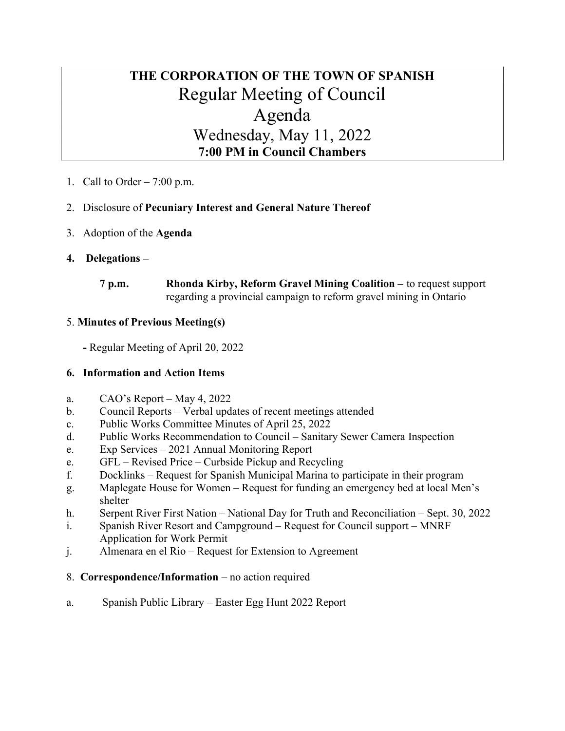# THE CORPORATION OF THE TOWN OF SPANISH Regular Meeting of Council Agenda Wednesday, May 11, 2022 7:00 PM in Council Chambers

1. Call to Order  $-7:00$  p.m.

# 2. Disclosure of Pecuniary Interest and General Nature Thereof

3. Adoption of the Agenda

# 4. Delegations –

7 p.m. Rhonda Kirby, Reform Gravel Mining Coalition – to request support regarding a provincial campaign to reform gravel mining in Ontario

### 5. Minutes of Previous Meeting(s)

- Regular Meeting of April 20, 2022

### 6. Information and Action Items

- a. CAO's Report May 4, 2022
- b. Council Reports Verbal updates of recent meetings attended
- c. Public Works Committee Minutes of April 25, 2022
- d. Public Works Recommendation to Council Sanitary Sewer Camera Inspection
- e. Exp Services 2021 Annual Monitoring Report
- e. GFL Revised Price Curbside Pickup and Recycling
- f. Docklinks Request for Spanish Municipal Marina to participate in their program
- g. Maplegate House for Women Request for funding an emergency bed at local Men's shelter
- h. Serpent River First Nation National Day for Truth and Reconciliation Sept. 30, 2022
- i. Spanish River Resort and Campground Request for Council support MNRF Application for Work Permit
- j. Almenara en el Rio Request for Extension to Agreement

### 8. Correspondence/Information – no action required

a. Spanish Public Library – Easter Egg Hunt 2022 Report